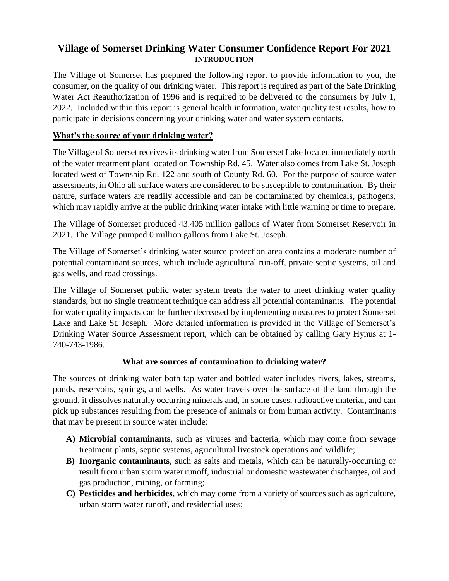# **Village of Somerset Drinking Water Consumer Confidence Report For 2021 INTRODUCTION**

The Village of Somerset has prepared the following report to provide information to you, the consumer, on the quality of our drinking water. This report is required as part of the Safe Drinking Water Act Reauthorization of 1996 and is required to be delivered to the consumers by July 1, 2022. Included within this report is general health information, water quality test results, how to participate in decisions concerning your drinking water and water system contacts.

# **What's the source of your drinking water?**

The Village of Somerset receives its drinking water from Somerset Lake located immediately north of the water treatment plant located on Township Rd. 45. Water also comes from Lake St. Joseph located west of Township Rd. 122 and south of County Rd. 60. For the purpose of source water assessments, in Ohio all surface waters are considered to be susceptible to contamination. By their nature, surface waters are readily accessible and can be contaminated by chemicals, pathogens, which may rapidly arrive at the public drinking water intake with little warning or time to prepare.

The Village of Somerset produced 43.405 million gallons of Water from Somerset Reservoir in 2021. The Village pumped 0 million gallons from Lake St. Joseph.

The Village of Somerset's drinking water source protection area contains a moderate number of potential contaminant sources, which include agricultural run-off, private septic systems, oil and gas wells, and road crossings.

The Village of Somerset public water system treats the water to meet drinking water quality standards, but no single treatment technique can address all potential contaminants. The potential for water quality impacts can be further decreased by implementing measures to protect Somerset Lake and Lake St. Joseph. More detailed information is provided in the Village of Somerset's Drinking Water Source Assessment report, which can be obtained by calling Gary Hynus at 1- 740-743-1986.

## **What are sources of contamination to drinking water?**

The sources of drinking water both tap water and bottled water includes rivers, lakes, streams, ponds, reservoirs, springs, and wells. As water travels over the surface of the land through the ground, it dissolves naturally occurring minerals and, in some cases, radioactive material, and can pick up substances resulting from the presence of animals or from human activity. Contaminants that may be present in source water include:

- **A) Microbial contaminants**, such as viruses and bacteria, which may come from sewage treatment plants, septic systems, agricultural livestock operations and wildlife;
- **B) Inorganic contaminants**, such as salts and metals, which can be naturally-occurring or result from urban storm water runoff, industrial or domestic wastewater discharges, oil and gas production, mining, or farming;
- **C) Pesticides and herbicides**, which may come from a variety of sources such as agriculture, urban storm water runoff, and residential uses;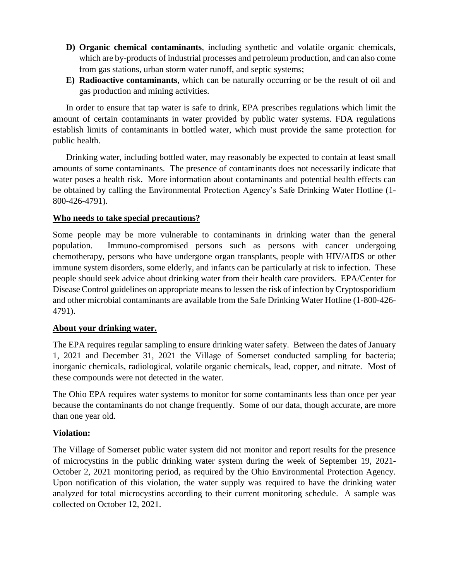- **D) Organic chemical contaminants**, including synthetic and volatile organic chemicals, which are by-products of industrial processes and petroleum production, and can also come from gas stations, urban storm water runoff, and septic systems;
- **E) Radioactive contaminants**, which can be naturally occurring or be the result of oil and gas production and mining activities.

In order to ensure that tap water is safe to drink, EPA prescribes regulations which limit the amount of certain contaminants in water provided by public water systems. FDA regulations establish limits of contaminants in bottled water, which must provide the same protection for public health.

Drinking water, including bottled water, may reasonably be expected to contain at least small amounts of some contaminants. The presence of contaminants does not necessarily indicate that water poses a health risk. More information about contaminants and potential health effects can be obtained by calling the Environmental Protection Agency's Safe Drinking Water Hotline (1- 800-426-4791).

## **Who needs to take special precautions?**

Some people may be more vulnerable to contaminants in drinking water than the general population. Immuno-compromised persons such as persons with cancer undergoing chemotherapy, persons who have undergone organ transplants, people with HIV/AIDS or other immune system disorders, some elderly, and infants can be particularly at risk to infection. These people should seek advice about drinking water from their health care providers. EPA/Center for Disease Control guidelines on appropriate means to lessen the risk of infection by Cryptosporidium and other microbial contaminants are available from the Safe Drinking Water Hotline (1-800-426- 4791).

#### **About your drinking water.**

The EPA requires regular sampling to ensure drinking water safety. Between the dates of January 1, 2021 and December 31, 2021 the Village of Somerset conducted sampling for bacteria; inorganic chemicals, radiological, volatile organic chemicals, lead, copper, and nitrate. Most of these compounds were not detected in the water.

The Ohio EPA requires water systems to monitor for some contaminants less than once per year because the contaminants do not change frequently. Some of our data, though accurate, are more than one year old.

#### **Violation:**

The Village of Somerset public water system did not monitor and report results for the presence of microcystins in the public drinking water system during the week of September 19, 2021- October 2, 2021 monitoring period, as required by the Ohio Environmental Protection Agency. Upon notification of this violation, the water supply was required to have the drinking water analyzed for total microcystins according to their current monitoring schedule. A sample was collected on October 12, 2021.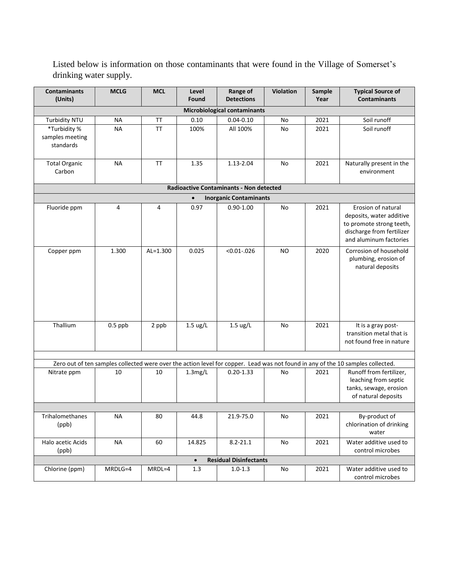Listed below is information on those contaminants that were found in the Village of Somerset's drinking water supply.

| <b>Contaminants</b><br>(Units)                                                                                                  | <b>MCLG</b> | <b>MCL</b>   | Level<br>Found     | Range of<br><b>Detections</b> | <b>Violation</b> | Sample<br>Year | <b>Typical Source of</b><br><b>Contaminants</b>                                                                                   |
|---------------------------------------------------------------------------------------------------------------------------------|-------------|--------------|--------------------|-------------------------------|------------------|----------------|-----------------------------------------------------------------------------------------------------------------------------------|
| <b>Microbiological contaminants</b>                                                                                             |             |              |                    |                               |                  |                |                                                                                                                                   |
| Turbidity NTU                                                                                                                   | <b>NA</b>   | <b>TT</b>    | 0.10               | $0.04 - 0.10$                 | No               | 2021           | Soil runoff                                                                                                                       |
| *Turbidity %<br>samples meeting<br>standards                                                                                    | <b>NA</b>   | <b>TT</b>    | 100%               | All 100%                      | No               | 2021           | Soil runoff                                                                                                                       |
| <b>Total Organic</b><br>Carbon                                                                                                  | <b>NA</b>   | ΤT           | 1.35               | 1.13-2.04                     | No               | 2021           | Naturally present in the<br>environment                                                                                           |
| <b>Radioactive Contaminants - Non detected</b>                                                                                  |             |              |                    |                               |                  |                |                                                                                                                                   |
| <b>Inorganic Contaminants</b><br>$\bullet$                                                                                      |             |              |                    |                               |                  |                |                                                                                                                                   |
| Fluoride ppm                                                                                                                    | 4           | 4            | 0.97               | $0.90 - 1.00$                 | No               | 2021           | Erosion of natural<br>deposits, water additive<br>to promote strong teeth,<br>discharge from fertilizer<br>and aluminum factories |
| Copper ppm                                                                                                                      | 1.300       | $AL = 1.300$ | 0.025              | $< 0.01 - 0.026$              | <b>NO</b>        | 2020           | Corrosion of household<br>plumbing, erosion of<br>natural deposits                                                                |
| Thallium                                                                                                                        | $0.5$ ppb   | 2 ppb        | $1.5 \text{ ug/L}$ | $1.5 \text{ ug/L}$            | No               | 2021           | It is a gray post-<br>transition metal that is<br>not found free in nature                                                        |
| Zero out of ten samples collected were over the action level for copper. Lead was not found in any of the 10 samples collected. |             |              |                    |                               |                  |                |                                                                                                                                   |
| Nitrate ppm                                                                                                                     | 10          | 10           | 1.3mg/L            | $0.20 - 1.33$                 | No               | 2021           | Runoff from fertilizer,<br>leaching from septic<br>tanks, sewage, erosion<br>of natural deposits                                  |
|                                                                                                                                 |             |              |                    |                               |                  |                |                                                                                                                                   |
| Trihalomethanes<br>(ppb)                                                                                                        | <b>NA</b>   | 80           | 44.8               | 21.9-75.0                     | No               | 2021           | By-product of<br>chlorination of drinking<br>water                                                                                |
| Halo acetic Acids<br>(ppb)                                                                                                      | <b>NA</b>   | 60           | 14.825             | $8.2 - 21.1$                  | No               | 2021           | Water additive used to<br>control microbes                                                                                        |
| <b>Residual Disinfectants</b><br>$\bullet$                                                                                      |             |              |                    |                               |                  |                |                                                                                                                                   |
| Chlorine (ppm)                                                                                                                  | MRDLG=4     | MRDL=4       | 1.3                | $1.0 - 1.3$                   | No               | 2021           | Water additive used to<br>control microbes                                                                                        |